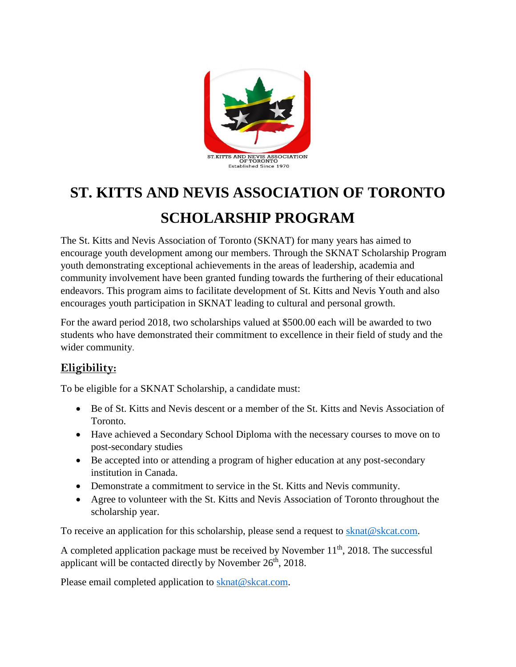

# **ST. KITTS AND NEVIS ASSOCIATION OF TORONTO SCHOLARSHIP PROGRAM**

The St. Kitts and Nevis Association of Toronto (SKNAT) for many years has aimed to encourage youth development among our members. Through the SKNAT Scholarship Program youth demonstrating exceptional achievements in the areas of leadership, academia and community involvement have been granted funding towards the furthering of their educational endeavors. This program aims to facilitate development of St. Kitts and Nevis Youth and also encourages youth participation in SKNAT leading to cultural and personal growth.

For the award period 2018, two scholarships valued at \$500.00 each will be awarded to two students who have demonstrated their commitment to excellence in their field of study and the wider community.

### **Eligibility:**

To be eligible for a SKNAT Scholarship, a candidate must:

- Be of St. Kitts and Nevis descent or a member of the St. Kitts and Nevis Association of Toronto.
- Have achieved a Secondary School Diploma with the necessary courses to move on to post-secondary studies
- Be accepted into or attending a program of higher education at any post-secondary institution in Canada.
- Demonstrate a commitment to service in the St. Kitts and Nevis community.
- Agree to volunteer with the St. Kitts and Nevis Association of Toronto throughout the scholarship year.

To receive an application for this scholarship, please send a request to [sknat@skcat.com.](mailto:sknat@skcat.com)

A completed application package must be received by November  $11<sup>th</sup>$ , 2018. The successful applicant will be contacted directly by November  $26<sup>th</sup>$ , 2018.

Please email completed application to [sknat@skcat.com.](mailto:sknat@skcat.com)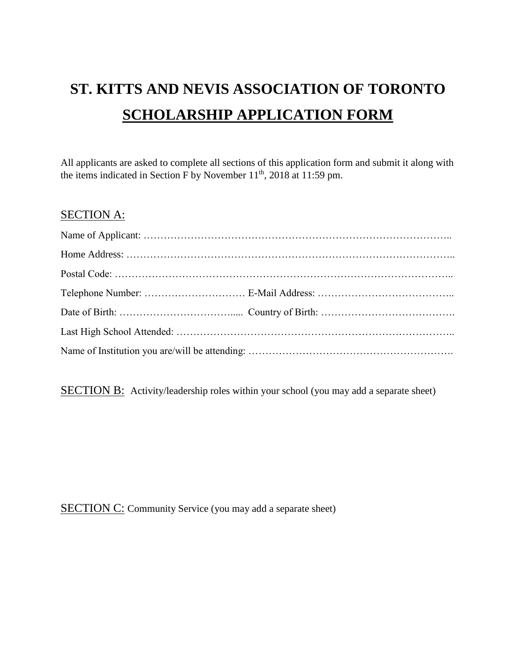## **ST. KITTS AND NEVIS ASSOCIATION OF TORONTO SCHOLARSHIP APPLICATION FORM**

All applicants are asked to complete all sections of this application form and submit it along with the items indicated in Section F by November 11<sup>th</sup>, 2018 at 11:59 pm.

#### SECTION A:

SECTION B: Activity/leadership roles within your school (you may add a separate sheet)

SECTION C: Community Service (you may add a separate sheet)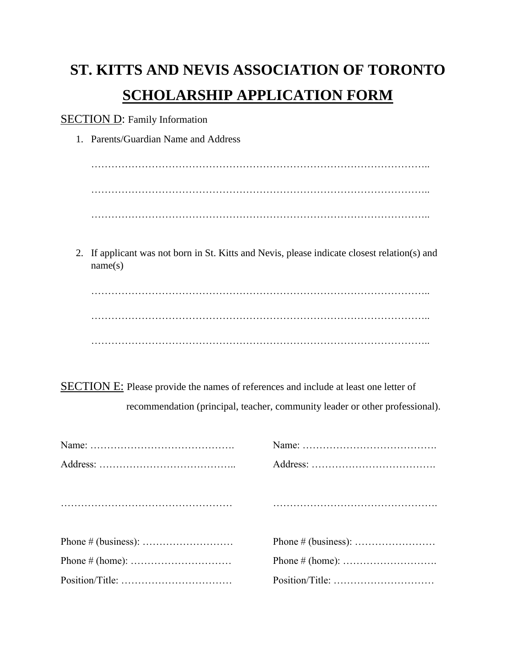## **ST. KITTS AND NEVIS ASSOCIATION OF TORONTO SCHOLARSHIP APPLICATION FORM**

SECTION D: Family Information

1. Parents/Guardian Name and Address

……………………………………………………………………………………….. ……………………………………………………………………………………….. ………………………………………………………………………………………..

2. If applicant was not born in St. Kitts and Nevis, please indicate closest relation(s) and name(s)

……………………………………………………………………………………….. ……………………………………………………………………………………….. ………………………………………………………………………………………..

SECTION E: Please provide the names of references and include at least one letter of recommendation (principal, teacher, community leader or other professional).